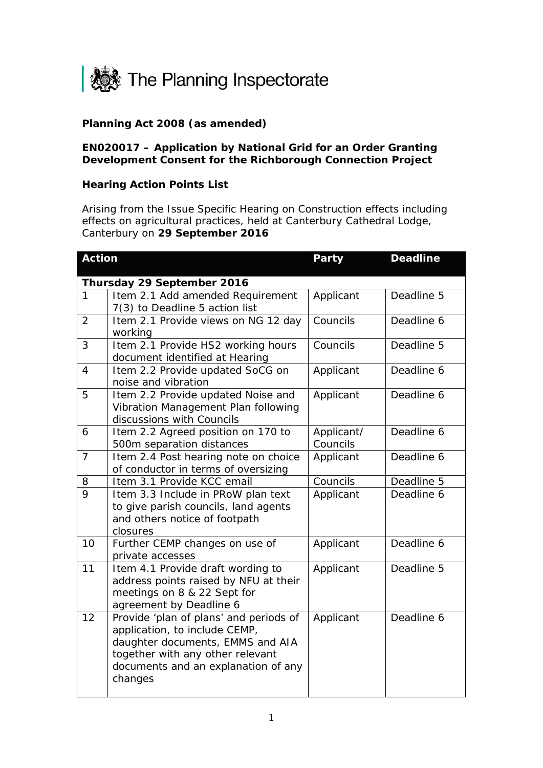

## **Planning Act 2008 (as amended)**

## **EN020017 – Application by National Grid for an Order Granting Development Consent for the Richborough Connection Project**

## **Hearing Action Points List**

Arising from the Issue Specific Hearing on Construction effects including effects on agricultural practices, held at Canterbury Cathedral Lodge, Canterbury on **29 September 2016**

| <b>Action</b>              |                                                                                                                                                                                                   | <b>Party</b>           | <b>Deadline</b> |  |
|----------------------------|---------------------------------------------------------------------------------------------------------------------------------------------------------------------------------------------------|------------------------|-----------------|--|
| Thursday 29 September 2016 |                                                                                                                                                                                                   |                        |                 |  |
| $\mathbf{1}$               | Item 2.1 Add amended Requirement<br>7(3) to Deadline 5 action list                                                                                                                                | Applicant              | Deadline 5      |  |
| $\overline{2}$             | Item 2.1 Provide views on NG 12 day<br>working                                                                                                                                                    | Councils               | Deadline 6      |  |
| 3                          | Item 2.1 Provide HS2 working hours<br>document identified at Hearing                                                                                                                              | Councils               | Deadline 5      |  |
| $\overline{4}$             | Item 2.2 Provide updated SoCG on<br>noise and vibration                                                                                                                                           | Applicant              | Deadline 6      |  |
| 5                          | Item 2.2 Provide updated Noise and<br>Vibration Management Plan following<br>discussions with Councils                                                                                            | Applicant              | Deadline 6      |  |
| 6                          | Item 2.2 Agreed position on 170 to<br>500m separation distances                                                                                                                                   | Applicant/<br>Councils | Deadline 6      |  |
| $\overline{7}$             | Item 2.4 Post hearing note on choice<br>of conductor in terms of oversizing                                                                                                                       | Applicant              | Deadline 6      |  |
| 8                          | Item 3.1 Provide KCC email                                                                                                                                                                        | Councils               | Deadline 5      |  |
| $\overline{Q}$             | Item 3.3 Include in PRoW plan text<br>to give parish councils, land agents<br>and others notice of footpath<br>closures                                                                           | Applicant              | Deadline 6      |  |
| 10                         | Further CEMP changes on use of<br>private accesses                                                                                                                                                | Applicant              | Deadline 6      |  |
| 11                         | Item 4.1 Provide draft wording to<br>address points raised by NFU at their<br>meetings on 8 & 22 Sept for<br>agreement by Deadline 6                                                              | Applicant              | Deadline 5      |  |
| 12                         | Provide 'plan of plans' and periods of<br>application, to include CEMP,<br>daughter documents, EMMS and AIA<br>together with any other relevant<br>documents and an explanation of any<br>changes | Applicant              | Deadline 6      |  |